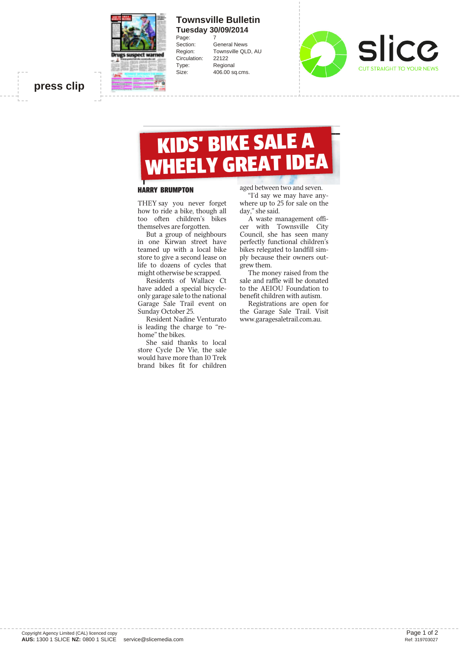

## **Townsville Bulletin Tuesday 30/09/2014**

Page:<br>Section: Circulation: 22122 Type: Regional

**General News** Region: Townsville QLD, AU Size: 406.00 sq.cms.



## **press clip**

# KIDS' BIKE SALE A WHEELY GREAT IDEA

#### HARRY BRUMPTON

THEY say you never forget how to ride a bike, though all too often children's bikes themselves are forgotten.

But a group of neighbours in one Kirwan street have teamed up with a local bike store to give a second lease on life to dozens of cycles that might otherwise be scrapped.

Residents of Wallace Ct have added a special bicycleonly garage sale to the national Garage Sale Trail event on Sunday October 25.

Resident Nadine Venturato is leading the charge to "rehome" the bikes.

She said thanks to local store Cycle De Vie, the sale would have more than 10 Trek brand bikes fit for children

aged between two and seven.

"I'd say we may have anywhere up to 25 for sale on the day," she said.

A waste management officer with Townsville City Council, she has seen many perfectly functional children's bikes relegated to landfill simply because their owners outgrew them.

The money raised from the sale and raffle will be donated to the AEIOU Foundation to benefit children with autism.

Registrations are open for the Garage Sale Trail. Visit www.garagesaletrail.com.au.